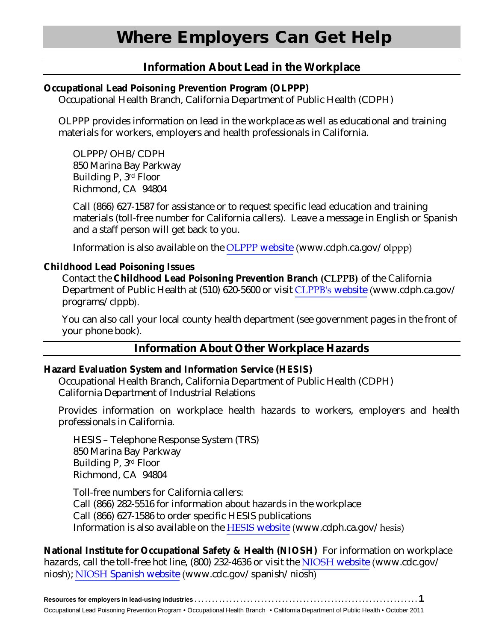# **Information About Lead in the Workplace**

#### **Occupational Lead Poisoning Prevention Program (OLPPP)**

Occupational Health Branch, California Department of Public Health (CDPH)

 OLPPP provides information on lead in the workplace as well as educational and training materials for workers, employers and health professionals in California.

OLPPP/OHB/CDPH 850 Marina Bay Parkway Building P, 3rd Floor Richmond, CA 94804

Call (866) 627-1587 for assistance or to request specific lead education and training materials (toll-free number for California callers). Leave a message in English or Spanish and a staff person will get back to you.

Information is also available on the [OLPPP](www.cdph.ca.gov/olppp) website (www.cdph.ca.gov/olppp)

#### **Childhood Lead Poisoning Issues**

Contact the **Childhood Lead Poisoning Prevention Branch (CLPPB)** of the California Department of Public Health at (510) 620-5600 or visit [CLPPB's](www.cdph.ca.gov/programs/clppb) website (www.cdph.ca.gov/ programs/clppb).

You can also call your local county health department (see government pages in the front of your phone book).

## **Information About Other Workplace Hazards**

#### **Hazard Evaluation System and Information Service (HESIS)**

 Occupational Health Branch, California Department of Public Health (CDPH) California Department of Industrial Relations

 Provides information on workplace health hazards to workers, employers and health professionals in California.

HESIS – Telephone Response System (TRS) 850 Marina Bay Parkway Building P, 3rd Floor Richmond, CA 94804

Toll-free numbers for California callers: Call (866) 282-5516 for information about hazards in the workplace Call (866) 627-1586 to order specific HESIS publications Information is also available on the HESIS [website](www.cdph.ca.gov/hesis) (www.cdph.ca.gov/hesis)

**National Institute for Occupational Safety & Health (NIOSH)** For information on workplace hazards, call the toll-free hot line, (800) 232-4636 or visit the NIOSH [website](www.cdc.gov/niosh) (www.cdc.gov/ niosh); NIOSH [Spanish website](www.cdc.gov/spanish/niosh) (www.cdc.gov/spanish/niosh)

| Occupational Lead Poisoning Prevention Program . Occupational Health Branch . California Department of Public Health . October 2011 |  |
|-------------------------------------------------------------------------------------------------------------------------------------|--|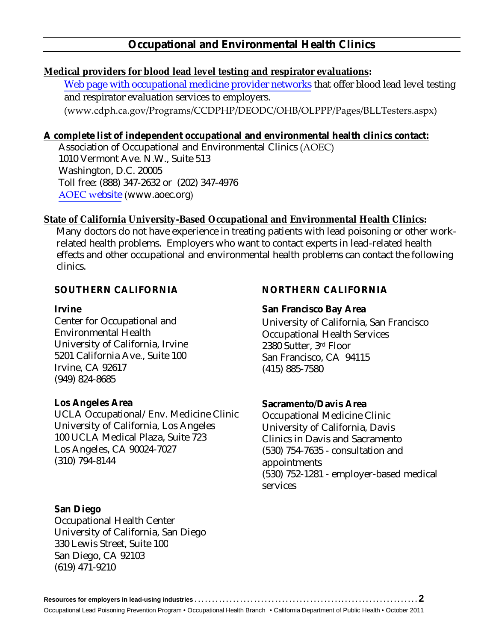## **Occupational and Environmental Health Clinics**

#### **Medical providers for blood lead level testing and respirator evaluations:**

[Web page with occupational medicine provider networks](https://www.cdph.ca.gov/Programs/CCDPHP/DEODC/OHB/OLPPP/Pages/BLLTesters.aspx) that offer blood lead level testing and respirator evaluation services to employers.

(www.cdph.ca.gov/Programs/CCDPHP/DEODC/OHB/OLPPP/Pages/BLLTesters.aspx)

## **A complete list of independent occupational and environmental health clinics contact:**

Association of Occupational and Environmental Clinics (AOEC) 1010 Vermont Ave. N.W., Suite 513 Washington, D.C. 20005 Toll free: (888) 347-2632 or (202) 347-4976 [AOEC w](www.aoec.org)ebsite (www.aoec.org)

## **State of California University-Based Occupational and Environmental Health Clinics:**

 effects and other occupational and environmental health problems can contact the following clinics. Many doctors do not have experience in treating patients with lead poisoning or other workrelated health problems. Employers who want to contact experts in lead-related health

Center for Occupational and University of California, Irvine 2380 Sutter, 3rd Floor 5201 California Ave., Suite 100 San Francisco, CA 94115 Irvine, CA 92617 Environmental Health Occupational Health Services (949) 824-8685

#### **Los Angeles Area**

 UCLA Occupational/Env. Medicine Clinic Occupational Medicine Clinic University of California, Los Angeles 100 UCLA Medical Plaza, Suite 723 Los Angeles, CA 90024-7027 University of California, Los Angeles University of California, Davis 100 UCLA Medical Plaza, Suite 723 Clinics in Davis and Sacramento Los Angeles, CA 90024-7027 (530) 754-7635 - consultation and<br>(310) 794-8144 (310) appointments

#### **San Diego**

 University of California, San Diego 330 Lewis Street, Suite 100 San Diego, CA 92103 Occupational Health Center (619) 471-9210

## **SOUTHERN CALIFORNIA NORTHERN CALIFORNIA**

## **Irvine San Francisco Bay Area**

 Center for Occupational and University of California, San Francisco 2380 Sutter, 3rd Floor San Francisco, CA 94115 (415) 885-7580

## Los Angeles Area **New Area Sacramento/Davis Area**

Occupational Medicine Clinic appointments (530) 752-1281 - employer-based medical services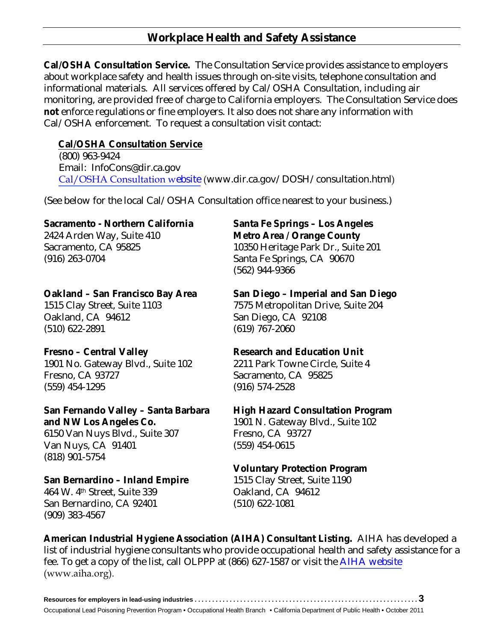# **Workplace Health and Safety Assistance**

 **Cal/OSHA Consultation Service.** The Consultation Service provides assistance to employers about workplace safety and health issues through on-site visits, telephone consultation and informational materials. All services offered by Cal/OSHA Consultation, including air monitoring, are provided free of charge to California employers. The Consultation Service does **not** enforce regulations or fine employers. It also does not share any information with Cal/OSHA enforcement. To request a consultation visit contact:

## **Cal/OSHA Consultation Service**

(800) 963-9424 Email: InfoCons@dir.ca.gov [Cal/OSHA Consultation w](www.dir.ca.gov/DOSH/consultation.html)ebsite (www.dir.ca.gov/DOSH/consultation.html)

(See below for the local Cal/OSHA Consultation office nearest to your business.)

## **Sacramento - Northern California**

 2424 Arden Way, Suite 410 Sacramento, CA 95825 (916) 263-0704

## **Oakland – San Francisco Bay Area**

 1515 Clay Street, Suite 1103 Oakland, CA 94612 (510) 622-2891

## **Fresno – Central Valley**

 1901 No. Gateway Blvd., Suite 102 Fresno, CA 93727 (559) 454-1295

#### **San Fernando Valley – Santa Barbara and NW Los Angeles Co.**

 6150 Van Nuys Blvd., Suite 307 Van Nuys, CA 91401 (818) 901-5754

## **San Bernardino – Inland Empire**

 464 W. 4th Street, Suite 339 San Bernardino, CA 92401 (909) 383-4567

#### **Santa Fe Springs – Los Angeles Metro Area / Orange County**

 10350 Heritage Park Dr., Suite 201 Santa Fe Springs, CA 90670 (562) 944-9366

# **San Diego – Imperial and San Diego**

 7575 Metropolitan Drive, Suite 204 San Diego, CA 92108 (619) 767-2060

## **Research and Education Unit**

 2211 Park Towne Circle, Suite 4 Sacramento, CA 95825 (916) 574-2528

## **High Hazard Consultation Program**

 1901 N. Gateway Blvd., Suite 102 Fresno, CA 93727 (559) 454-0615

## **Voluntary Protection Program**

 1515 Clay Street, Suite 1190 Oakland, CA 94612 (510) 622-1081

 fee. To get a copy of the list, call OLPPP at (866) 627-1587 or visit the [AIHA website](www.aiha.org) **American Industrial Hygiene Association (AIHA) Consultant Listing.** AIHA has developed a list of industrial hygiene consultants who provide occupational health and safety assistance for a (www.aiha.org).

| Occupational Lead Poisoning Prevention Program • Occupational Health Branch • California Department of Public Health • October 2011 |
|-------------------------------------------------------------------------------------------------------------------------------------|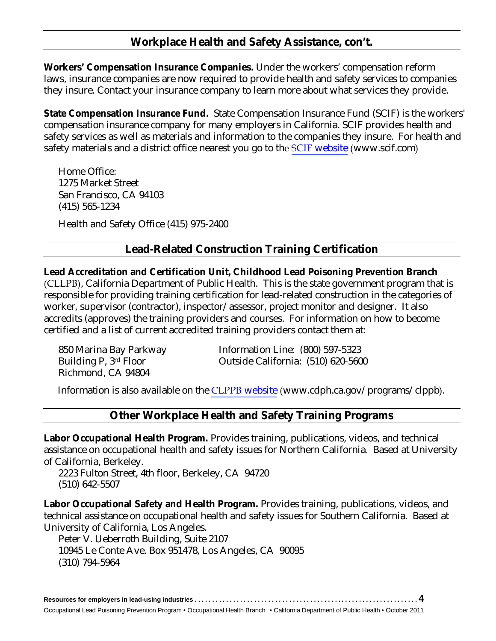# **Workplace Health and Safety Assistance, con't.**

**Workers' Compensation Insurance Companies.** Under the workers' compensation reform laws, insurance companies are now required to provide health and safety services to companies they insure. Contact your insurance company to learn more about what services they provide.

**State Compensation Insurance Fund.** State Compensation Insurance Fund (SCIF) is the workers' compensation insurance company for many employers in California. SCIF provides health and safety services as well as materials and information to the companies they insure. For health and safety materials and a district office nearest you go to the SCIF [website](www.scif.com) (www.scif.com)

 Home Office: 1275 Market Street San Francisco, CA 94103 (415) 565-1234

Health and Safety Office (415) 975-2400

# **Lead-Related Construction Training Certification**

#### **Lead Accreditation and Certification Unit, Childhood Lead Poisoning Prevention Branch**

(CLLPB), California Department of Public Health. This is the state government program that is responsible for providing training certification for lead-related construction in the categories of worker, supervisor (contractor), inspector/assessor, project monitor and designer. It also accredits (approves) the training providers and courses. For information on how to become certified and a list of current accredited training providers contact them at:

850 Marina Bay Parkway Building P, 3rd Floor Richmond, CA 94804

Information Line: (800) 597-5323 Outside California: (510) 620-5600

Information is also available on the CLPPB [website](www.cdph.ca.gov/programs/clppb) (www.cdph.ca.gov/programs/clppb).

# **Other Workplace Health and Safety Training Programs**

 **Labor Occupational Health Program.** Provides training, publications, videos, and technical assistance on occupational health and safety issues for Northern California. Based at University of California, Berkeley.

 2223 Fulton Street, 4th floor, Berkeley, CA 94720 (510) 642-5507

 **Labor Occupational Safety and Health Program.** Provides training, publications, videos, and technical assistance on occupational health and safety issues for Southern California. Based at University of California, Los Angeles.

 Peter V. Ueberroth Building, Suite 2107 10945 Le Conte Ave. Box 951478, Los Angeles, CA 90095 (310) 794-5964

| Occupational Lead Poisoning Prevention Program • Occupational Health Branch • California Department of Public Health • October 2011 |
|-------------------------------------------------------------------------------------------------------------------------------------|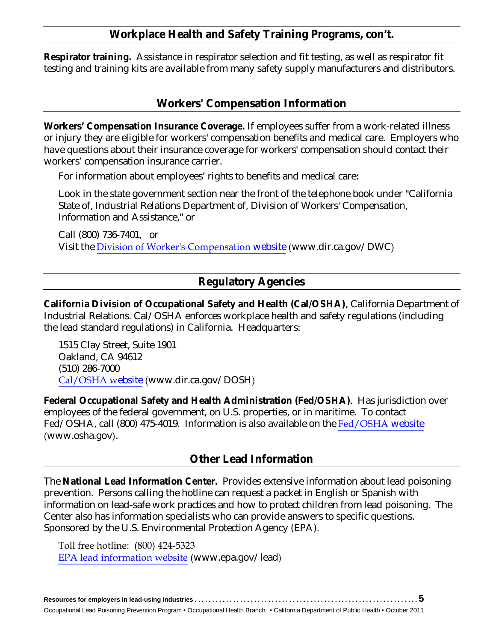## **Workplace Health and Safety Training Programs, con't.**

 **Respirator training.** Assistance in respirator selection and fit testing, as well as respirator fit testing and training kits are available from many safety supply manufacturers and distributors.

## **Workers' Compensation Information**

 **Workers' Compensation Insurance Coverage.** If employees suffer from a work-related illness or injury they are eligible for workers' compensation benefits and medical care. Employers who have questions about their insurance coverage for workers' compensation should contact their workers' compensation insurance carrier.

For information about employees' rights to benefits and medical care:

Look in the state government section near the front of the telephone book under "California State of, Industrial Relations Department of, Division of Workers' Compensation, Information and Assistance," or

 Call (800) 736-7401, or Visit the [Division of Worker's Compensation](www.dir.ca.gov/dwc) website (www.dir.ca.gov/DWC)

# **Regulatory Agencies**

 **California Division of Occupational Safety and Health (Cal/OSHA)**, California Department of Industrial Relations. Cal/OSHA enforces workplace health and safety regulations (including the lead standard regulations) in California. Headquarters:

1515 Clay Street, Suite 1901 Oakland, CA 94612 (510) 286-7000 [Cal/OSHA w](www.dir.ca.gov/DOSH)ebsite (www.dir.ca.gov/DOSH)

**Federal Occupational Safety and Health Administration (Fed/OSHA)**. Has jurisdiction over employees of the federal government, on U.S. properties, or in maritime. To contact Fed/OSHA, call (800) 475-4019. Information is also available on the [Fed/OSHA](www.osha.gov) website (www.osha.gov).

## **Other Lead Information**

 The **National Lead Information Center.** Provides extensive information about lead poisoning prevention. Persons calling the hotline can request a packet in English or Spanish with information on lead-safe work practices and how to protect children from lead poisoning. The Center also has information specialists who can provide answers to specific questions. Sponsored by the U.S. Environmental Protection Agency (EPA).

Toll free hotline: (800) 424-5323 [EPA lead information website](www.epa.gov/lead) (www.epa.gov/lead)